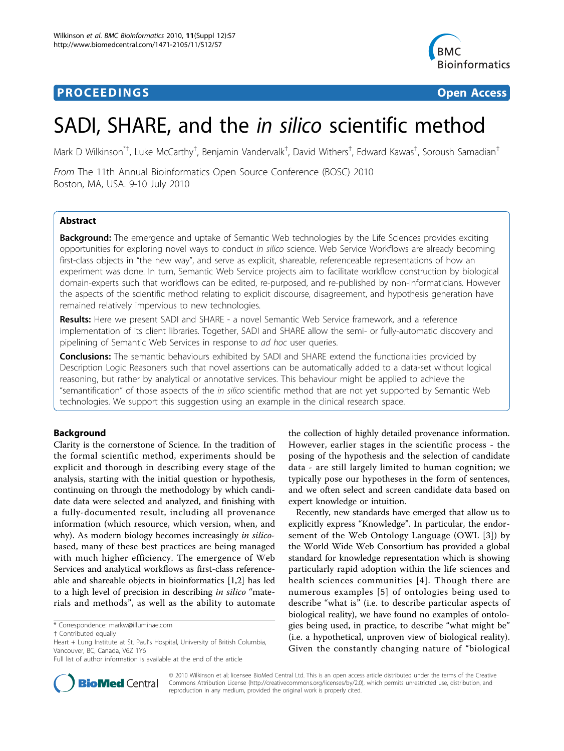## **PROCEEDINGS STATE ACCESS CONSUMING SECTION CONSUMING SECTION CONSUMING SECTION CONSUMING SECTION CONSUMING SECTION CONSUMING SECTION CONSUMING SECTION CONSUMING SECTION CONSUMING SECTION CONSUMING SECTION CONSUMING SE**



# SADI, SHARE, and the in silico scientific method

Mark D Wilkinson $^{*+}$ , Luke McCarthy $^+$ , Benjamin Vandervalk $^\dagger$ , David Withers $^\dagger$ , Edward Kawas $^\dagger$ , Soroush Samadian $^{\dagger}$ 

From The 11th Annual Bioinformatics Open Source Conference (BOSC) 2010 Boston, MA, USA. 9-10 July 2010

## Abstract

**Background:** The emergence and uptake of Semantic Web technologies by the Life Sciences provides exciting opportunities for exploring novel ways to conduct in silico science. Web Service Workflows are already becoming first-class objects in "the new way", and serve as explicit, shareable, referenceable representations of how an experiment was done. In turn, Semantic Web Service projects aim to facilitate workflow construction by biological domain-experts such that workflows can be edited, re-purposed, and re-published by non-informaticians. However the aspects of the scientific method relating to explicit discourse, disagreement, and hypothesis generation have remained relatively impervious to new technologies.

Results: Here we present SADI and SHARE - a novel Semantic Web Service framework, and a reference implementation of its client libraries. Together, SADI and SHARE allow the semi- or fully-automatic discovery and pipelining of Semantic Web Services in response to ad hoc user queries.

Conclusions: The semantic behaviours exhibited by SADI and SHARE extend the functionalities provided by Description Logic Reasoners such that novel assertions can be automatically added to a data-set without logical reasoning, but rather by analytical or annotative services. This behaviour might be applied to achieve the "semantification" of those aspects of the in silico scientific method that are not yet supported by Semantic Web technologies. We support this suggestion using an example in the clinical research space.

## **Background**

Clarity is the cornerstone of Science. In the tradition of the formal scientific method, experiments should be explicit and thorough in describing every stage of the analysis, starting with the initial question or hypothesis, continuing on through the methodology by which candidate data were selected and analyzed, and finishing with a fully-documented result, including all provenance information (which resource, which version, when, and why). As modern biology becomes increasingly in silicobased, many of these best practices are being managed with much higher efficiency. The emergence of Web Services and analytical workflows as first-class referenceable and shareable objects in bioinformatics [\[1,2](#page-3-0)] has led to a high level of precision in describing in silico "materials and methods", as well as the ability to automate

the collection of highly detailed provenance information. However, earlier stages in the scientific process - the posing of the hypothesis and the selection of candidate data - are still largely limited to human cognition; we typically pose our hypotheses in the form of sentences, and we often select and screen candidate data based on expert knowledge or intuition.

Recently, new standards have emerged that allow us to explicitly express "Knowledge". In particular, the endorsement of the Web Ontology Language (OWL [\[3\]](#page-3-0)) by the World Wide Web Consortium has provided a global standard for knowledge representation which is showing particularly rapid adoption within the life sciences and health sciences communities [[4\]](#page-3-0). Though there are numerous examples [[5](#page-3-0)] of ontologies being used to describe "what is" (i.e. to describe particular aspects of biological reality), we have found no examples of ontologies being used, in practice, to describe "what might be" (i.e. a hypothetical, unproven view of biological reality). Given the constantly changing nature of "biological



© 2010 Wilkinson et al; licensee BioMed Central Ltd. This is an open access article distributed under the terms of the Creative Commons Attribution License [\(http://creativecommons.org/licenses/by/2.0](http://creativecommons.org/licenses/by/2.0)), which permits unrestricted use, distribution, and reproduction in any medium, provided the original work is properly cited.

<sup>\*</sup> Correspondence: [markw@illuminae.com](mailto:markw@illuminae.com)

<sup>†</sup> Contributed equally

Heart + Lung Institute at St. Paul's Hospital, University of British Columbia, Vancouver, BC, Canada, V6Z 1Y6

Full list of author information is available at the end of the article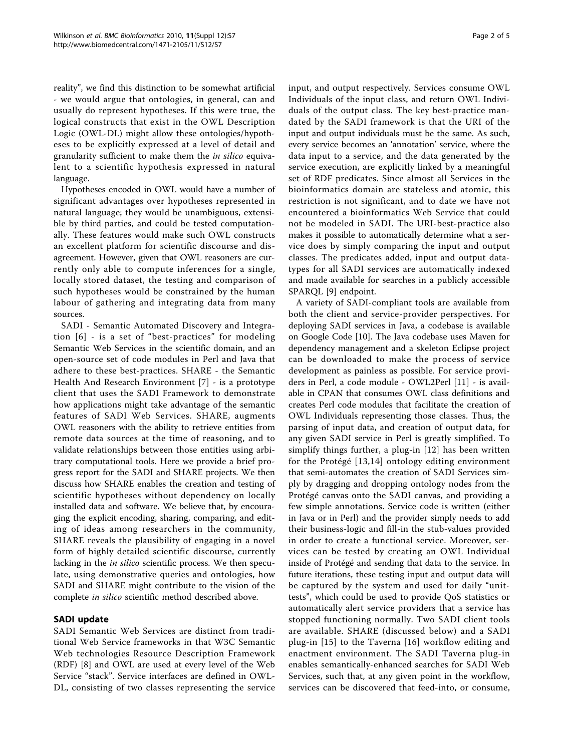reality", we find this distinction to be somewhat artificial - we would argue that ontologies, in general, can and usually do represent hypotheses. If this were true, the logical constructs that exist in the OWL Description Logic (OWL-DL) might allow these ontologies/hypotheses to be explicitly expressed at a level of detail and granularity sufficient to make them the in silico equivalent to a scientific hypothesis expressed in natural language.

Hypotheses encoded in OWL would have a number of significant advantages over hypotheses represented in natural language; they would be unambiguous, extensible by third parties, and could be tested computationally. These features would make such OWL constructs an excellent platform for scientific discourse and disagreement. However, given that OWL reasoners are currently only able to compute inferences for a single, locally stored dataset, the testing and comparison of such hypotheses would be constrained by the human labour of gathering and integrating data from many sources.

SADI - Semantic Automated Discovery and Integration [[6](#page-4-0)] - is a set of "best-practices" for modeling Semantic Web Services in the scientific domain, and an open-source set of code modules in Perl and Java that adhere to these best-practices. SHARE - the Semantic Health And Research Environment [[7\]](#page-4-0) - is a prototype client that uses the SADI Framework to demonstrate how applications might take advantage of the semantic features of SADI Web Services. SHARE, augments OWL reasoners with the ability to retrieve entities from remote data sources at the time of reasoning, and to validate relationships between those entities using arbitrary computational tools. Here we provide a brief progress report for the SADI and SHARE projects. We then discuss how SHARE enables the creation and testing of scientific hypotheses without dependency on locally installed data and software. We believe that, by encouraging the explicit encoding, sharing, comparing, and editing of ideas among researchers in the community, SHARE reveals the plausibility of engaging in a novel form of highly detailed scientific discourse, currently lacking in the in silico scientific process. We then speculate, using demonstrative queries and ontologies, how SADI and SHARE might contribute to the vision of the complete in silico scientific method described above.

## SADI update

SADI Semantic Web Services are distinct from traditional Web Service frameworks in that W3C Semantic Web technologies Resource Description Framework (RDF) [\[8](#page-4-0)] and OWL are used at every level of the Web Service "stack". Service interfaces are defined in OWL-DL, consisting of two classes representing the service input, and output respectively. Services consume OWL Individuals of the input class, and return OWL Individuals of the output class. The key best-practice mandated by the SADI framework is that the URI of the input and output individuals must be the same. As such, every service becomes an 'annotation' service, where the data input to a service, and the data generated by the service execution, are explicitly linked by a meaningful set of RDF predicates. Since almost all Services in the bioinformatics domain are stateless and atomic, this restriction is not significant, and to date we have not encountered a bioinformatics Web Service that could not be modeled in SADI. The URI-best-practice also makes it possible to automatically determine what a service does by simply comparing the input and output classes. The predicates added, input and output datatypes for all SADI services are automatically indexed and made available for searches in a publicly accessible SPARQL [[9\]](#page-4-0) endpoint.

A variety of SADI-compliant tools are available from both the client and service-provider perspectives. For deploying SADI services in Java, a codebase is available on Google Code [\[10](#page-4-0)]. The Java codebase uses Maven for dependency management and a skeleton Eclipse project can be downloaded to make the process of service development as painless as possible. For service providers in Perl, a code module - OWL2Perl [[11\]](#page-4-0) - is available in CPAN that consumes OWL class definitions and creates Perl code modules that facilitate the creation of OWL Individuals representing those classes. Thus, the parsing of input data, and creation of output data, for any given SADI service in Perl is greatly simplified. To simplify things further, a plug-in [[12](#page-4-0)] has been written for the Protégé [[13,14](#page-4-0)] ontology editing environment that semi-automates the creation of SADI Services simply by dragging and dropping ontology nodes from the Protégé canvas onto the SADI canvas, and providing a few simple annotations. Service code is written (either in Java or in Perl) and the provider simply needs to add their business-logic and fill-in the stub-values provided in order to create a functional service. Moreover, services can be tested by creating an OWL Individual inside of Protégé and sending that data to the service. In future iterations, these testing input and output data will be captured by the system and used for daily "unittests", which could be used to provide QoS statistics or automatically alert service providers that a service has stopped functioning normally. Two SADI client tools are available. SHARE (discussed below) and a SADI plug-in [\[15\]](#page-4-0) to the Taverna [[16](#page-4-0)] workflow editing and enactment environment. The SADI Taverna plug-in enables semantically-enhanced searches for SADI Web Services, such that, at any given point in the workflow, services can be discovered that feed-into, or consume,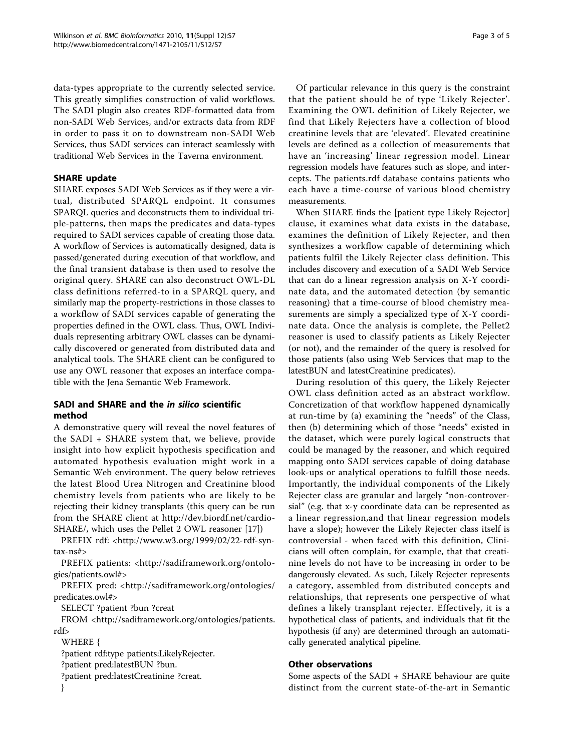data-types appropriate to the currently selected service. This greatly simplifies construction of valid workflows. The SADI plugin also creates RDF-formatted data from non-SADI Web Services, and/or extracts data from RDF in order to pass it on to downstream non-SADI Web Services, thus SADI services can interact seamlessly with traditional Web Services in the Taverna environment.

## SHARE update

SHARE exposes SADI Web Services as if they were a virtual, distributed SPARQL endpoint. It consumes SPARQL queries and deconstructs them to individual triple-patterns, then maps the predicates and data-types required to SADI services capable of creating those data. A workflow of Services is automatically designed, data is passed/generated during execution of that workflow, and the final transient database is then used to resolve the original query. SHARE can also deconstruct OWL-DL class definitions referred-to in a SPARQL query, and similarly map the property-restrictions in those classes to a workflow of SADI services capable of generating the properties defined in the OWL class. Thus, OWL Individuals representing arbitrary OWL classes can be dynamically discovered or generated from distributed data and analytical tools. The SHARE client can be configured to use any OWL reasoner that exposes an interface compatible with the Jena Semantic Web Framework.

## SADI and SHARE and the in silico scientific method

A demonstrative query will reveal the novel features of the SADI + SHARE system that, we believe, provide insight into how explicit hypothesis specification and automated hypothesis evaluation might work in a Semantic Web environment. The query below retrieves the latest Blood Urea Nitrogen and Creatinine blood chemistry levels from patients who are likely to be rejecting their kidney transplants (this query can be run from the SHARE client at http://dev.biordf.net/cardio-SHARE/, which uses the Pellet 2 OWL reasoner [[17\]](#page-4-0))

PREFIX rdf: [<http://www.w3.org/1999/02/22-rdf-syn](http://www.w3.org/1999/02/22-rdf-syntax-ns#)[tax-ns#>](http://www.w3.org/1999/02/22-rdf-syntax-ns#)

PREFIX patients: [<http://sadiframework.org/ontolo](http://sadiframework.org/ontologies/patients.owl#)[gies/patients.owl#>](http://sadiframework.org/ontologies/patients.owl#)

PREFIX pred: [<http://sadiframework.org/ontologies/](http://sadiframework.org/ontologies/predicates.owl#) [predicates.owl#](http://sadiframework.org/ontologies/predicates.owl#)>

SELECT ?patient ?bun ?creat

FROM <[http://sadiframework.org/ontologies/patients.](http://sadiframework.org/ontologies/patients.rdf) [rdf](http://sadiframework.org/ontologies/patients.rdf)>

WHERE {

?patient rdf:type patients:LikelyRejecter. ?patient pred:latestBUN ?bun. ?patient pred:latestCreatinine ?creat. }

Of particular relevance in this query is the constraint that the patient should be of type 'Likely Rejecter'. Examining the OWL definition of Likely Rejecter, we find that Likely Rejecters have a collection of blood creatinine levels that are 'elevated'. Elevated creatinine levels are defined as a collection of measurements that have an 'increasing' linear regression model. Linear regression models have features such as slope, and intercepts. The patients.rdf database contains patients who each have a time-course of various blood chemistry measurements.

When SHARE finds the [patient type Likely Rejector] clause, it examines what data exists in the database, examines the definition of Likely Rejecter, and then synthesizes a workflow capable of determining which patients fulfil the Likely Rejecter class definition. This includes discovery and execution of a SADI Web Service that can do a linear regression analysis on X-Y coordinate data, and the automated detection (by semantic reasoning) that a time-course of blood chemistry measurements are simply a specialized type of X-Y coordinate data. Once the analysis is complete, the Pellet2 reasoner is used to classify patients as Likely Rejecter (or not), and the remainder of the query is resolved for those patients (also using Web Services that map to the latestBUN and latestCreatinine predicates).

During resolution of this query, the Likely Rejecter OWL class definition acted as an abstract workflow. Concretization of that workflow happened dynamically at run-time by (a) examining the "needs" of the Class, then (b) determining which of those "needs" existed in the dataset, which were purely logical constructs that could be managed by the reasoner, and which required mapping onto SADI services capable of doing database look-ups or analytical operations to fulfill those needs. Importantly, the individual components of the Likely Rejecter class are granular and largely "non-controversial" (e.g. that x-y coordinate data can be represented as a linear regression,and that linear regression models have a slope); however the Likely Rejecter class itself is controversial - when faced with this definition, Clinicians will often complain, for example, that that creatinine levels do not have to be increasing in order to be dangerously elevated. As such, Likely Rejecter represents a category, assembled from distributed concepts and relationships, that represents one perspective of what defines a likely transplant rejecter. Effectively, it is a hypothetical class of patients, and individuals that fit the hypothesis (if any) are determined through an automatically generated analytical pipeline.

## Other observations

Some aspects of the SADI + SHARE behaviour are quite distinct from the current state-of-the-art in Semantic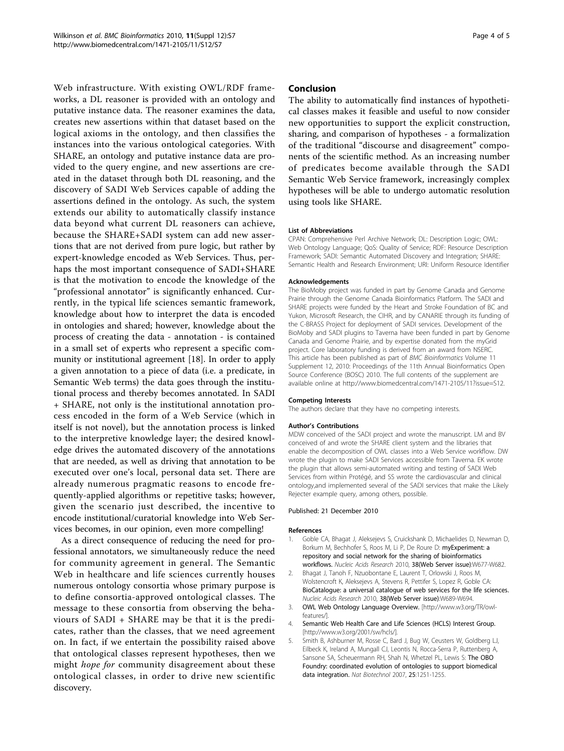<span id="page-3-0"></span>Web infrastructure. With existing OWL/RDF frameworks, a DL reasoner is provided with an ontology and putative instance data. The reasoner examines the data, creates new assertions within that dataset based on the logical axioms in the ontology, and then classifies the instances into the various ontological categories. With SHARE, an ontology and putative instance data are provided to the query engine, and new assertions are created in the dataset through both DL reasoning, and the discovery of SADI Web Services capable of adding the assertions defined in the ontology. As such, the system extends our ability to automatically classify instance data beyond what current DL reasoners can achieve, because the SHARE+SADI system can add new assertions that are not derived from pure logic, but rather by expert-knowledge encoded as Web Services. Thus, perhaps the most important consequence of SADI+SHARE is that the motivation to encode the knowledge of the "professional annotator" is significantly enhanced. Currently, in the typical life sciences semantic framework, knowledge about how to interpret the data is encoded in ontologies and shared; however, knowledge about the process of creating the data - annotation - is contained in a small set of experts who represent a specific community or institutional agreement [[18\]](#page-4-0). In order to apply a given annotation to a piece of data (i.e. a predicate, in Semantic Web terms) the data goes through the institutional process and thereby becomes annotated. In SADI + SHARE, not only is the institutional annotation process encoded in the form of a Web Service (which in itself is not novel), but the annotation process is linked to the interpretive knowledge layer; the desired knowledge drives the automated discovery of the annotations that are needed, as well as driving that annotation to be executed over one's local, personal data set. There are already numerous pragmatic reasons to encode frequently-applied algorithms or repetitive tasks; however, given the scenario just described, the incentive to encode institutional/curatorial knowledge into Web Services becomes, in our opinion, even more compelling!

As a direct consequence of reducing the need for professional annotators, we simultaneously reduce the need for community agreement in general. The Semantic Web in healthcare and life sciences currently houses numerous ontology consortia whose primary purpose is to define consortia-approved ontological classes. The message to these consortia from observing the behaviours of SADI + SHARE may be that it is the predicates, rather than the classes, that we need agreement on. In fact, if we entertain the possibility raised above that ontological classes represent hypotheses, then we might *hope for* community disagreement about these ontological classes, in order to drive new scientific discovery.

## Conclusion

The ability to automatically find instances of hypothetical classes makes it feasible and useful to now consider new opportunities to support the explicit construction, sharing, and comparison of hypotheses - a formalization of the traditional "discourse and disagreement" components of the scientific method. As an increasing number of predicates become available through the SADI Semantic Web Service framework, increasingly complex hypotheses will be able to undergo automatic resolution using tools like SHARE.

#### List of Abbreviations

CPAN: Comprehensive Perl Archive Network; DL: Description Logic; OWL: Web Ontology Language; QoS: Quality of Service; RDF: Resource Description Framework; SADI: Semantic Automated Discovery and Integration; SHARE: Semantic Health and Research Environment; URI: Uniform Resource Identifier

#### Acknowledgements

The BioMoby project was funded in part by Genome Canada and Genome Prairie through the Genome Canada Bioinformatics Platform. The SADI and SHARE projects were funded by the Heart and Stroke Foundation of BC and Yukon, Microsoft Research, the CIHR, and by CANARIE through its funding of the C-BRASS Project for deployment of SADI services. Development of the BioMoby and SADI plugins to Taverna have been funded in part by Genome Canada and Genome Prairie, and by expertise donated from the myGrid project. Core laboratory funding is derived from an award from NSERC. This article has been published as part of BMC Bioinformatics Volume 11 Supplement 12, 2010: Proceedings of the 11th Annual Bioinformatics Open Source Conference (BOSC) 2010. The full contents of the supplement are available online at [http://www.biomedcentral.com/1471-2105/11?issue=S12.](http://www.biomedcentral.com/1471-2105/11?issue=S12)

#### Competing Interests

The authors declare that they have no competing interests.

#### Author's Contributions

MDW conceived of the SADI project and wrote the manuscript. LM and BV conceived of and wrote the SHARE client system and the libraries that enable the decomposition of OWL classes into a Web Service workflow. DW wrote the plugin to make SADI Services accessible from Taverna. EK wrote the plugin that allows semi-automated writing and testing of SADI Web Services from within Protégé, and SS wrote the cardiovascular and clinical ontology,and implemented several of the SADI services that make the Likely Rejecter example query, among others, possible.

#### Published: 21 December 2010

#### References

- 1. Goble CA, Bhagat J, Aleksejevs S, Cruickshank D, Michaelides D, Newman D, Borkum M, Bechhofer S, Roos M, Li P, De Roure D: [myExperiment: a](http://www.ncbi.nlm.nih.gov/pubmed/20501605?dopt=Abstract) [repository and social network for the sharing of bioinformatics](http://www.ncbi.nlm.nih.gov/pubmed/20501605?dopt=Abstract) [workflows.](http://www.ncbi.nlm.nih.gov/pubmed/20501605?dopt=Abstract) Nucleic Acids Research 2010, 38(Web Server issue):W677-W682.
- 2. Bhagat J, Tanoh F, Nzuobontane E, Laurent T, Orlowski J, Roos M, Wolstencroft K, Aleksejevs A, Stevens R, Pettifer S, Lopez R, Goble CA: [BioCatalogue: a universal catalogue of web services for the life sciences.](http://www.ncbi.nlm.nih.gov/pubmed/20484378?dopt=Abstract) Nucleic Acids Research 2010, 38(Web Server issue):W689-W694.
- 3. OWL Web Ontology Language Overview. [\[http://www.w3.org/TR/owl](http://www.w3.org/TR/owl-features/)[features/](http://www.w3.org/TR/owl-features/)].
- 4. Semantic Web Health Care and Life Sciences (HCLS) Interest Group. [<http://www.w3.org/2001/sw/hcls/>].
- 5. Smith B, Ashburner M, Rosse C, Bard J, Bug W, Ceusters W, Goldberg LJ, Eilbeck K, Ireland A, Mungall CJ, Leontis N, Rocca-Serra P, Ruttenberg A, Sansone SA, Scheuermann RH, Shah N, Whetzel PL, Lewis S: [The OBO](http://www.ncbi.nlm.nih.gov/pubmed/17989687?dopt=Abstract) [Foundry: coordinated evolution of ontologies to support biomedical](http://www.ncbi.nlm.nih.gov/pubmed/17989687?dopt=Abstract) [data integration.](http://www.ncbi.nlm.nih.gov/pubmed/17989687?dopt=Abstract) Nat Biotechnol 2007, 25:1251-1255.